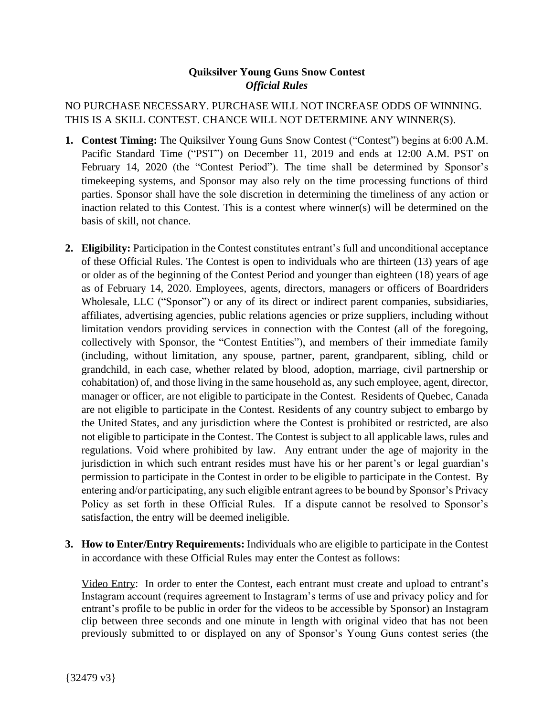## **Quiksilver Young Guns Snow Contest** *Official Rules*

NO PURCHASE NECESSARY. PURCHASE WILL NOT INCREASE ODDS OF WINNING. THIS IS A SKILL CONTEST. CHANCE WILL NOT DETERMINE ANY WINNER(S).

- **1. Contest Timing:** The Quiksilver Young Guns Snow Contest ("Contest") begins at 6:00 A.M. Pacific Standard Time ("PST") on December 11, 2019 and ends at 12:00 A.M. PST on February 14, 2020 (the "Contest Period"). The time shall be determined by Sponsor's timekeeping systems, and Sponsor may also rely on the time processing functions of third parties. Sponsor shall have the sole discretion in determining the timeliness of any action or inaction related to this Contest. This is a contest where winner(s) will be determined on the basis of skill, not chance.
- **2. Eligibility:** Participation in the Contest constitutes entrant's full and unconditional acceptance of these Official Rules. The Contest is open to individuals who are thirteen (13) years of age or older as of the beginning of the Contest Period and younger than eighteen (18) years of age as of February 14, 2020. Employees, agents, directors, managers or officers of Boardriders Wholesale, LLC ("Sponsor") or any of its direct or indirect parent companies, subsidiaries, affiliates, advertising agencies, public relations agencies or prize suppliers, including without limitation vendors providing services in connection with the Contest (all of the foregoing, collectively with Sponsor, the "Contest Entities"), and members of their immediate family (including, without limitation, any spouse, partner, parent, grandparent, sibling, child or grandchild, in each case, whether related by blood, adoption, marriage, civil partnership or cohabitation) of, and those living in the same household as, any such employee, agent, director, manager or officer, are not eligible to participate in the Contest. Residents of Quebec, Canada are not eligible to participate in the Contest. Residents of any country subject to embargo by the United States, and any jurisdiction where the Contest is prohibited or restricted, are also not eligible to participate in the Contest. The Contest is subject to all applicable laws, rules and regulations. Void where prohibited by law. Any entrant under the age of majority in the jurisdiction in which such entrant resides must have his or her parent's or legal guardian's permission to participate in the Contest in order to be eligible to participate in the Contest. By entering and/or participating, any such eligible entrant agrees to be bound by Sponsor's Privacy Policy as set forth in these Official Rules. If a dispute cannot be resolved to Sponsor's satisfaction, the entry will be deemed ineligible.
- **3. How to Enter/Entry Requirements:** Individuals who are eligible to participate in the Contest in accordance with these Official Rules may enter the Contest as follows:

Video Entry: In order to enter the Contest, each entrant must create and upload to entrant's Instagram account (requires agreement to Instagram's terms of use and privacy policy and for entrant's profile to be public in order for the videos to be accessible by Sponsor) an Instagram clip between three seconds and one minute in length with original video that has not been previously submitted to or displayed on any of Sponsor's Young Guns contest series (the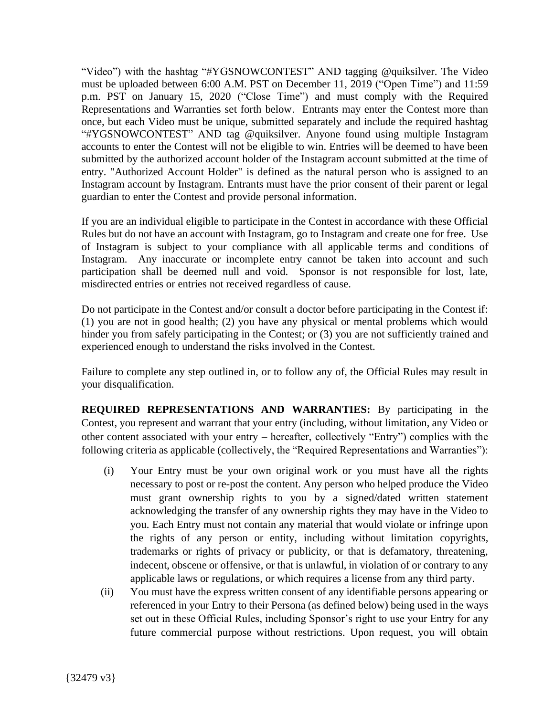"Video") with the hashtag "#YGSNOWCONTEST" AND tagging @quiksilver. The Video must be uploaded between 6:00 A.M. PST on December 11, 2019 ("Open Time") and 11:59 p.m. PST on January 15, 2020 ("Close Time") and must comply with the Required Representations and Warranties set forth below. Entrants may enter the Contest more than once, but each Video must be unique, submitted separately and include the required hashtag "#YGSNOWCONTEST" AND tag @quiksilver. Anyone found using multiple Instagram accounts to enter the Contest will not be eligible to win. Entries will be deemed to have been submitted by the authorized account holder of the Instagram account submitted at the time of entry. "Authorized Account Holder" is defined as the natural person who is assigned to an Instagram account by Instagram. Entrants must have the prior consent of their parent or legal guardian to enter the Contest and provide personal information.

If you are an individual eligible to participate in the Contest in accordance with these Official Rules but do not have an account with Instagram, go to Instagram and create one for free. Use of Instagram is subject to your compliance with all applicable terms and conditions of Instagram. Any inaccurate or incomplete entry cannot be taken into account and such participation shall be deemed null and void. Sponsor is not responsible for lost, late, misdirected entries or entries not received regardless of cause.

Do not participate in the Contest and/or consult a doctor before participating in the Contest if: (1) you are not in good health; (2) you have any physical or mental problems which would hinder you from safely participating in the Contest; or  $(3)$  you are not sufficiently trained and experienced enough to understand the risks involved in the Contest.

Failure to complete any step outlined in, or to follow any of, the Official Rules may result in your disqualification.

**REQUIRED REPRESENTATIONS AND WARRANTIES:** By participating in the Contest, you represent and warrant that your entry (including, without limitation, any Video or other content associated with your entry – hereafter, collectively "Entry") complies with the following criteria as applicable (collectively, the "Required Representations and Warranties"):

- (i) Your Entry must be your own original work or you must have all the rights necessary to post or re-post the content. Any person who helped produce the Video must grant ownership rights to you by a signed/dated written statement acknowledging the transfer of any ownership rights they may have in the Video to you. Each Entry must not contain any material that would violate or infringe upon the rights of any person or entity, including without limitation copyrights, trademarks or rights of privacy or publicity, or that is defamatory, threatening, indecent, obscene or offensive, or that is unlawful, in violation of or contrary to any applicable laws or regulations, or which requires a license from any third party.
- (ii) You must have the express written consent of any identifiable persons appearing or referenced in your Entry to their Persona (as defined below) being used in the ways set out in these Official Rules, including Sponsor's right to use your Entry for any future commercial purpose without restrictions. Upon request, you will obtain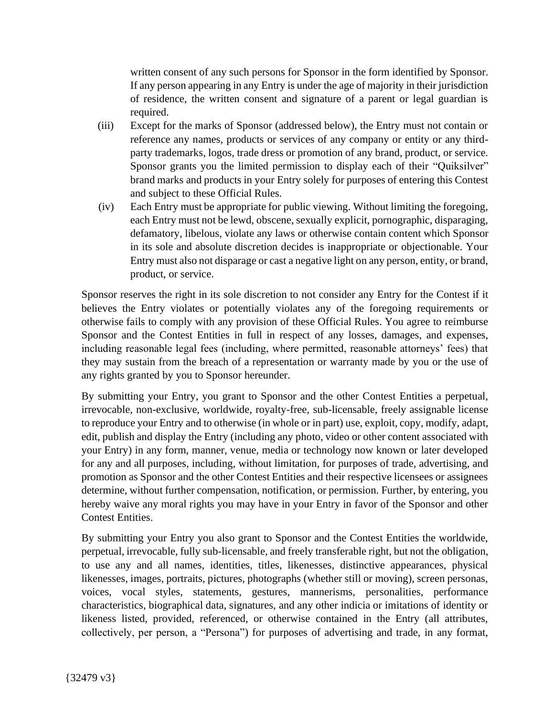written consent of any such persons for Sponsor in the form identified by Sponsor. If any person appearing in any Entry is under the age of majority in their jurisdiction of residence, the written consent and signature of a parent or legal guardian is required.

- (iii) Except for the marks of Sponsor (addressed below), the Entry must not contain or reference any names, products or services of any company or entity or any thirdparty trademarks, logos, trade dress or promotion of any brand, product, or service. Sponsor grants you the limited permission to display each of their "Quiksilver" brand marks and products in your Entry solely for purposes of entering this Contest and subject to these Official Rules.
- (iv) Each Entry must be appropriate for public viewing. Without limiting the foregoing, each Entry must not be lewd, obscene, sexually explicit, pornographic, disparaging, defamatory, libelous, violate any laws or otherwise contain content which Sponsor in its sole and absolute discretion decides is inappropriate or objectionable. Your Entry must also not disparage or cast a negative light on any person, entity, or brand, product, or service.

Sponsor reserves the right in its sole discretion to not consider any Entry for the Contest if it believes the Entry violates or potentially violates any of the foregoing requirements or otherwise fails to comply with any provision of these Official Rules. You agree to reimburse Sponsor and the Contest Entities in full in respect of any losses, damages, and expenses, including reasonable legal fees (including, where permitted, reasonable attorneys' fees) that they may sustain from the breach of a representation or warranty made by you or the use of any rights granted by you to Sponsor hereunder.

By submitting your Entry, you grant to Sponsor and the other Contest Entities a perpetual, irrevocable, non-exclusive, worldwide, royalty-free, sub-licensable, freely assignable license to reproduce your Entry and to otherwise (in whole or in part) use, exploit, copy, modify, adapt, edit, publish and display the Entry (including any photo, video or other content associated with your Entry) in any form, manner, venue, media or technology now known or later developed for any and all purposes, including, without limitation, for purposes of trade, advertising, and promotion as Sponsor and the other Contest Entities and their respective licensees or assignees determine, without further compensation, notification, or permission. Further, by entering, you hereby waive any moral rights you may have in your Entry in favor of the Sponsor and other Contest Entities.

By submitting your Entry you also grant to Sponsor and the Contest Entities the worldwide, perpetual, irrevocable, fully sub-licensable, and freely transferable right, but not the obligation, to use any and all names, identities, titles, likenesses, distinctive appearances, physical likenesses, images, portraits, pictures, photographs (whether still or moving), screen personas, voices, vocal styles, statements, gestures, mannerisms, personalities, performance characteristics, biographical data, signatures, and any other indicia or imitations of identity or likeness listed, provided, referenced, or otherwise contained in the Entry (all attributes, collectively, per person, a "Persona") for purposes of advertising and trade, in any format,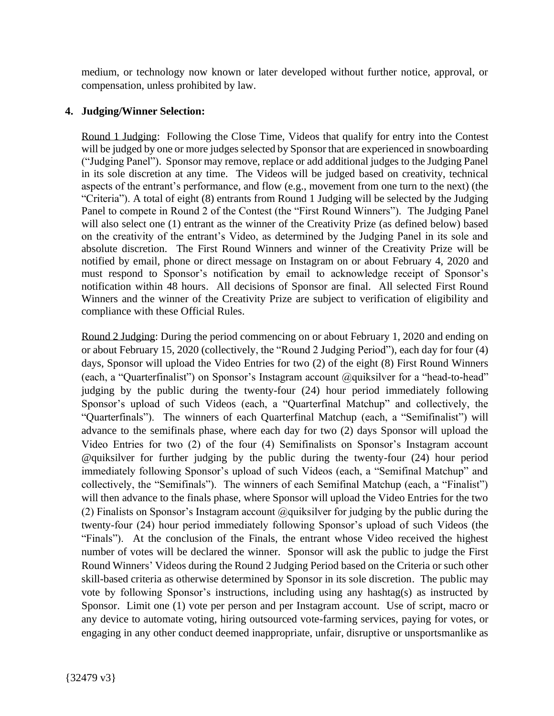medium, or technology now known or later developed without further notice, approval, or compensation, unless prohibited by law.

## **4. Judging/Winner Selection:**

Round 1 Judging: Following the Close Time, Videos that qualify for entry into the Contest will be judged by one or more judges selected by Sponsor that are experienced in snowboarding ("Judging Panel"). Sponsor may remove, replace or add additional judges to the Judging Panel in its sole discretion at any time. The Videos will be judged based on creativity, technical aspects of the entrant's performance, and flow (e.g., movement from one turn to the next) (the "Criteria"). A total of eight (8) entrants from Round 1 Judging will be selected by the Judging Panel to compete in Round 2 of the Contest (the "First Round Winners"). The Judging Panel will also select one (1) entrant as the winner of the Creativity Prize (as defined below) based on the creativity of the entrant's Video, as determined by the Judging Panel in its sole and absolute discretion. The First Round Winners and winner of the Creativity Prize will be notified by email, phone or direct message on Instagram on or about February 4, 2020 and must respond to Sponsor's notification by email to acknowledge receipt of Sponsor's notification within 48 hours. All decisions of Sponsor are final. All selected First Round Winners and the winner of the Creativity Prize are subject to verification of eligibility and compliance with these Official Rules.

Round 2 Judging: During the period commencing on or about February 1, 2020 and ending on or about February 15, 2020 (collectively, the "Round 2 Judging Period"), each day for four (4) days, Sponsor will upload the Video Entries for two (2) of the eight (8) First Round Winners (each, a "Quarterfinalist") on Sponsor's Instagram account @quiksilver for a "head-to-head" judging by the public during the twenty-four (24) hour period immediately following Sponsor's upload of such Videos (each, a "Quarterfinal Matchup" and collectively, the "Quarterfinals"). The winners of each Quarterfinal Matchup (each, a "Semifinalist") will advance to the semifinals phase, where each day for two (2) days Sponsor will upload the Video Entries for two (2) of the four (4) Semifinalists on Sponsor's Instagram account @quiksilver for further judging by the public during the twenty-four (24) hour period immediately following Sponsor's upload of such Videos (each, a "Semifinal Matchup" and collectively, the "Semifinals"). The winners of each Semifinal Matchup (each, a "Finalist") will then advance to the finals phase, where Sponsor will upload the Video Entries for the two (2) Finalists on Sponsor's Instagram account  $@$  quiksilver for judging by the public during the twenty-four (24) hour period immediately following Sponsor's upload of such Videos (the "Finals"). At the conclusion of the Finals, the entrant whose Video received the highest number of votes will be declared the winner. Sponsor will ask the public to judge the First Round Winners' Videos during the Round 2 Judging Period based on the Criteria or such other skill-based criteria as otherwise determined by Sponsor in its sole discretion. The public may vote by following Sponsor's instructions, including using any hashtag(s) as instructed by Sponsor. Limit one (1) vote per person and per Instagram account. Use of script, macro or any device to automate voting, hiring outsourced vote-farming services, paying for votes, or engaging in any other conduct deemed inappropriate, unfair, disruptive or unsportsmanlike as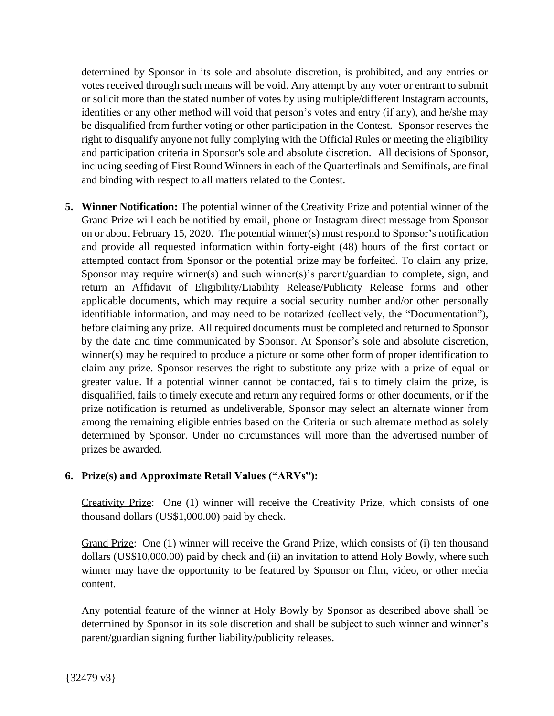determined by Sponsor in its sole and absolute discretion, is prohibited, and any entries or votes received through such means will be void. Any attempt by any voter or entrant to submit or solicit more than the stated number of votes by using multiple/different Instagram accounts, identities or any other method will void that person's votes and entry (if any), and he/she may be disqualified from further voting or other participation in the Contest. Sponsor reserves the right to disqualify anyone not fully complying with the Official Rules or meeting the eligibility and participation criteria in Sponsor's sole and absolute discretion. All decisions of Sponsor, including seeding of First Round Winners in each of the Quarterfinals and Semifinals, are final and binding with respect to all matters related to the Contest.

**5. Winner Notification:** The potential winner of the Creativity Prize and potential winner of the Grand Prize will each be notified by email, phone or Instagram direct message from Sponsor on or about February 15, 2020. The potential winner(s) must respond to Sponsor's notification and provide all requested information within forty-eight (48) hours of the first contact or attempted contact from Sponsor or the potential prize may be forfeited. To claim any prize, Sponsor may require winner(s) and such winner(s)'s parent/guardian to complete, sign, and return an Affidavit of Eligibility/Liability Release/Publicity Release forms and other applicable documents, which may require a social security number and/or other personally identifiable information, and may need to be notarized (collectively, the "Documentation"), before claiming any prize. All required documents must be completed and returned to Sponsor by the date and time communicated by Sponsor. At Sponsor's sole and absolute discretion, winner(s) may be required to produce a picture or some other form of proper identification to claim any prize. Sponsor reserves the right to substitute any prize with a prize of equal or greater value. If a potential winner cannot be contacted, fails to timely claim the prize, is disqualified, fails to timely execute and return any required forms or other documents, or if the prize notification is returned as undeliverable, Sponsor may select an alternate winner from among the remaining eligible entries based on the Criteria or such alternate method as solely determined by Sponsor. Under no circumstances will more than the advertised number of prizes be awarded.

## **6. Prize(s) and Approximate Retail Values ("ARVs"):**

Creativity Prize: One (1) winner will receive the Creativity Prize, which consists of one thousand dollars (US\$1,000.00) paid by check.

Grand Prize: One (1) winner will receive the Grand Prize, which consists of (i) ten thousand dollars (US\$10,000.00) paid by check and (ii) an invitation to attend Holy Bowly, where such winner may have the opportunity to be featured by Sponsor on film, video, or other media content.

Any potential feature of the winner at Holy Bowly by Sponsor as described above shall be determined by Sponsor in its sole discretion and shall be subject to such winner and winner's parent/guardian signing further liability/publicity releases.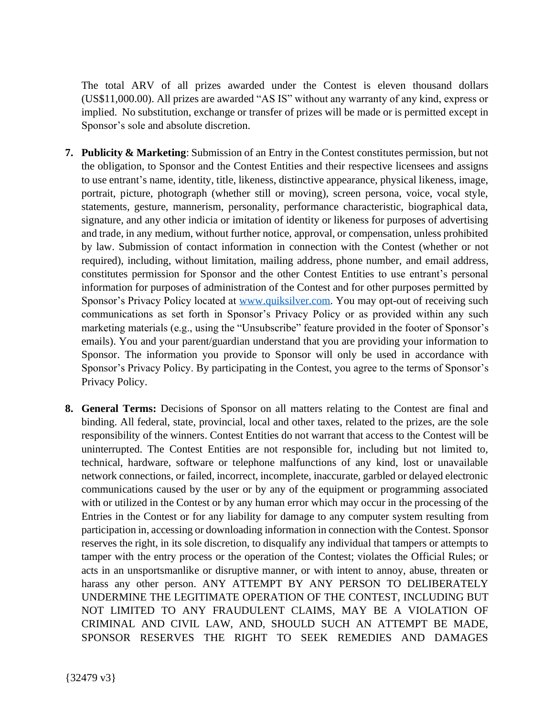The total ARV of all prizes awarded under the Contest is eleven thousand dollars (US\$11,000.00). All prizes are awarded "AS IS" without any warranty of any kind, express or implied. No substitution, exchange or transfer of prizes will be made or is permitted except in Sponsor's sole and absolute discretion.

- **7. Publicity & Marketing**: Submission of an Entry in the Contest constitutes permission, but not the obligation, to Sponsor and the Contest Entities and their respective licensees and assigns to use entrant's name, identity, title, likeness, distinctive appearance, physical likeness, image, portrait, picture, photograph (whether still or moving), screen persona, voice, vocal style, statements, gesture, mannerism, personality, performance characteristic, biographical data, signature, and any other indicia or imitation of identity or likeness for purposes of advertising and trade, in any medium, without further notice, approval, or compensation, unless prohibited by law. Submission of contact information in connection with the Contest (whether or not required), including, without limitation, mailing address, phone number, and email address, constitutes permission for Sponsor and the other Contest Entities to use entrant's personal information for purposes of administration of the Contest and for other purposes permitted by Sponsor's Privacy Policy located at [www.quiksilver.com.](http://www.quiksilver.com/) You may opt-out of receiving such communications as set forth in Sponsor's Privacy Policy or as provided within any such marketing materials (e.g., using the "Unsubscribe" feature provided in the footer of Sponsor's emails). You and your parent/guardian understand that you are providing your information to Sponsor. The information you provide to Sponsor will only be used in accordance with Sponsor's Privacy Policy. By participating in the Contest, you agree to the terms of Sponsor's Privacy Policy.
- **8. General Terms:** Decisions of Sponsor on all matters relating to the Contest are final and binding. All federal, state, provincial, local and other taxes, related to the prizes, are the sole responsibility of the winners. Contest Entities do not warrant that access to the Contest will be uninterrupted. The Contest Entities are not responsible for, including but not limited to, technical, hardware, software or telephone malfunctions of any kind, lost or unavailable network connections, or failed, incorrect, incomplete, inaccurate, garbled or delayed electronic communications caused by the user or by any of the equipment or programming associated with or utilized in the Contest or by any human error which may occur in the processing of the Entries in the Contest or for any liability for damage to any computer system resulting from participation in, accessing or downloading information in connection with the Contest. Sponsor reserves the right, in its sole discretion, to disqualify any individual that tampers or attempts to tamper with the entry process or the operation of the Contest; violates the Official Rules; or acts in an unsportsmanlike or disruptive manner, or with intent to annoy, abuse, threaten or harass any other person. ANY ATTEMPT BY ANY PERSON TO DELIBERATELY UNDERMINE THE LEGITIMATE OPERATION OF THE CONTEST, INCLUDING BUT NOT LIMITED TO ANY FRAUDULENT CLAIMS, MAY BE A VIOLATION OF CRIMINAL AND CIVIL LAW, AND, SHOULD SUCH AN ATTEMPT BE MADE, SPONSOR RESERVES THE RIGHT TO SEEK REMEDIES AND DAMAGES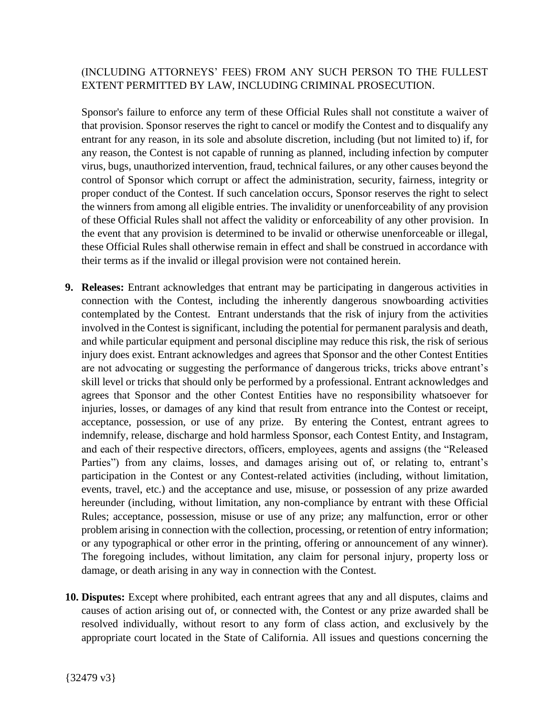## (INCLUDING ATTORNEYS' FEES) FROM ANY SUCH PERSON TO THE FULLEST EXTENT PERMITTED BY LAW, INCLUDING CRIMINAL PROSECUTION.

Sponsor's failure to enforce any term of these Official Rules shall not constitute a waiver of that provision. Sponsor reserves the right to cancel or modify the Contest and to disqualify any entrant for any reason, in its sole and absolute discretion, including (but not limited to) if, for any reason, the Contest is not capable of running as planned, including infection by computer virus, bugs, unauthorized intervention, fraud, technical failures, or any other causes beyond the control of Sponsor which corrupt or affect the administration, security, fairness, integrity or proper conduct of the Contest. If such cancelation occurs, Sponsor reserves the right to select the winners from among all eligible entries. The invalidity or unenforceability of any provision of these Official Rules shall not affect the validity or enforceability of any other provision. In the event that any provision is determined to be invalid or otherwise unenforceable or illegal, these Official Rules shall otherwise remain in effect and shall be construed in accordance with their terms as if the invalid or illegal provision were not contained herein.

- **9. Releases:** Entrant acknowledges that entrant may be participating in dangerous activities in connection with the Contest, including the inherently dangerous snowboarding activities contemplated by the Contest. Entrant understands that the risk of injury from the activities involved in the Contest is significant, including the potential for permanent paralysis and death, and while particular equipment and personal discipline may reduce this risk, the risk of serious injury does exist. Entrant acknowledges and agrees that Sponsor and the other Contest Entities are not advocating or suggesting the performance of dangerous tricks, tricks above entrant's skill level or tricks that should only be performed by a professional. Entrant acknowledges and agrees that Sponsor and the other Contest Entities have no responsibility whatsoever for injuries, losses, or damages of any kind that result from entrance into the Contest or receipt, acceptance, possession, or use of any prize. By entering the Contest, entrant agrees to indemnify, release, discharge and hold harmless Sponsor, each Contest Entity, and Instagram, and each of their respective directors, officers, employees, agents and assigns (the "Released Parties") from any claims, losses, and damages arising out of, or relating to, entrant's participation in the Contest or any Contest-related activities (including, without limitation, events, travel, etc.) and the acceptance and use, misuse, or possession of any prize awarded hereunder (including, without limitation, any non-compliance by entrant with these Official Rules; acceptance, possession, misuse or use of any prize; any malfunction, error or other problem arising in connection with the collection, processing, or retention of entry information; or any typographical or other error in the printing, offering or announcement of any winner). The foregoing includes, without limitation, any claim for personal injury, property loss or damage, or death arising in any way in connection with the Contest.
- **10. Disputes:** Except where prohibited, each entrant agrees that any and all disputes, claims and causes of action arising out of, or connected with, the Contest or any prize awarded shall be resolved individually, without resort to any form of class action, and exclusively by the appropriate court located in the State of California. All issues and questions concerning the